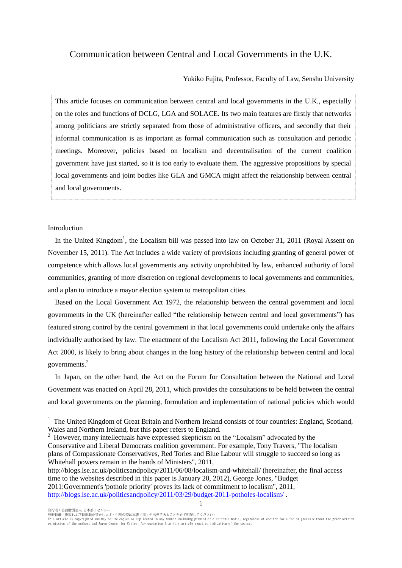# Communication between Central and Local Governments in the U.K.

Yukiko Fujita, Professor, Faculty of Law, Senshu University

This article focuses on communication between central and local governments in the U.K., especially on the roles and functions of DCLG, LGA and SOLACE. Its two main features are firstly that networks among politicians are strictly separated from those of administrative officers, and secondly that their informal communication is as important as formal communication such as consultation and periodic meetings. Moreover, policies based on localism and decentralisation of the current coalition government have just started, so it is too early to evaluate them. The aggressive propositions by special local governments and joint bodies like GLA and GMCA might affect the relationship between central and local governments.

# Introduction

In the United Kingdom<sup>1</sup>, the Localism bill was passed into law on October 31, 2011 (Royal Assent on November 15, 2011). The Act includes a wide variety of provisions including granting of general power of competence which allows local governments any activity unprohibited by law, enhanced authority of local communities, granting of more discretion on regional developments to local governments and communities, and a plan to introduce a mayor election system to metropolitan cities.

Based on the Local Government Act 1972, the relationship between the central government and local governments in the UK (hereinafter called "the relationship between central and local governments") has featured strong control by the central government in that local governments could undertake only the affairs individually authorised by law. The enactment of the Localism Act 2011, following the Local Government Act 2000, is likely to bring about changes in the long history of the relationship between central and local governments.<sup>2</sup>

In Japan, on the other hand, the Act on the Forum for Consultation between the National and Local Govenment was enacted on April 28, 2011, which provides the consultations to be held between the central and local governments on the planning, formulation and implementation of national policies which would

<sup>2</sup> However, many intellectuals have expressed skepticism on the "Localism" advocated by the Conservative and Liberal Democrats coalition government. For example, Tony Travers, "The localism plans of Compassionate Conservatives, Red Tories and Blue Labour will struggle to succeed so long as

Whitehall powers remain in the hands of Ministers", 2011, <http://blogs.lse.ac.uk/politicsandpolicy/2011/06/08/localism-and-whitehall/> (hereinafter, the final access time to the websites described in this paper is January 20, 2012), George Jones, "Budget 2011:Government's 'pothole priority' proves its lack of commitment to localism", 2011, <http://blogs.lse.ac.uk/politicsandpolicy/2011/03/29/budget-2011-potholes-localism/> .

発行者:公益財団法人 日本都市センター

 $\overline{a}$ 

1

<sup>1</sup> The United Kingdom of Great Britain and Northern Ireland consists of four countries: England, Scotland, Wales and Northern Ireland, but this paper refers to England.

無断転載・複製および転訳載を禁止します。引用の際は本書(稿)が出典であることを必ず明記してください。<br>This article is copyrighted and may not be copied or duplicated in any manner including printed or electronic media, regardless of whether for a fee or gratis without th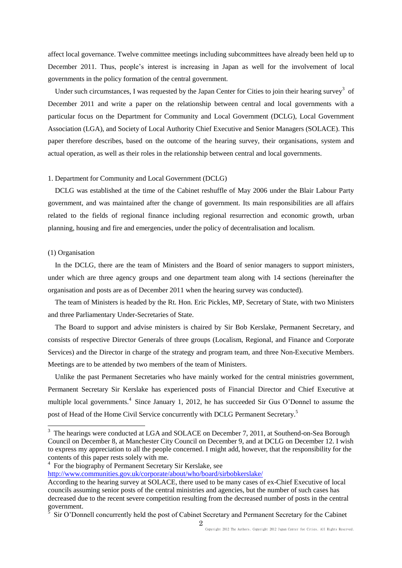affect local governance. Twelve committee meetings including subcommittees have already been held up to December 2011. Thus, people's interest is increasing in Japan as well for the involvement of local governments in the policy formation of the central government.

Under such circumstances, I was requested by the Japan Center for Cities to join their hearing survey<sup>3</sup> of December 2011 and write a paper on the relationship between central and local governments with a particular focus on the Department for Community and Local Government (DCLG), Local Government Association (LGA), and Society of Local Authority Chief Executive and Senior Managers (SOLACE). This paper therefore describes, based on the outcome of the hearing survey, their organisations, system and actual operation, as well as their roles in the relationship between central and local governments.

## 1. Department for Community and Local Government (DCLG)

DCLG was established at the time of the Cabinet reshuffle of May 2006 under the Blair Labour Party government, and was maintained after the change of government. Its main responsibilities are all affairs related to the fields of regional finance including regional resurrection and economic growth, urban planning, housing and fire and emergencies, under the policy of decentralisation and localism.

#### (1) Organisation

In the DCLG, there are the team of Ministers and the Board of senior managers to support ministers, under which are three agency groups and one department team along with 14 sections (hereinafter the organisation and posts are as of December 2011 when the hearing survey was conducted).

The team of Ministers is headed by the Rt. Hon. Eric Pickles, MP, Secretary of State, with two Ministers and three Parliamentary Under-Secretaries of State.

The Board to support and advise ministers is chaired by Sir Bob Kerslake, Permanent Secretary, and consists of respective Director Generals of three groups (Localism, Regional, and Finance and Corporate Services) and the Director in charge of the strategy and program team, and three Non-Executive Members. Meetings are to be attended by two members of the team of Ministers.

Unlike the past Permanent Secretaries who have mainly worked for the central ministries government, Permanent Secretary Sir Kerslake has experienced posts of Financial Director and Chief Executive at multiple local governments.<sup>4</sup> Since January 1, 2012, he has succeeded Sir Gus O'Donnel to assume the post of Head of the Home Civil Service concurrently with DCLG Permanent Secretary.<sup>5</sup>

<sup>4</sup> For the biography of Permanent Secretary Sir Kerslake, see

<http://www.communities.gov.uk/corporate/about/who/board/sirbobkerslake/>

<sup>&</sup>lt;sup>3</sup> The hearings were conducted at LGA and SOLACE on December 7, 2011, at Southend-on-Sea Borough Council on December 8, at Manchester City Council on December 9, and at DCLG on December 12. I wish to express my appreciation to all the people concerned. I might add, however, that the responsibility for the contents of this paper rests solely with me.

According to the hearing survey at SOLACE, there used to be many cases of ex-Chief Executive of local councils assuming senior posts of the central ministries and agencies, but the number of such cases has decreased due to the recent severe competition resulting from the decreased number of posts in the central government.

Sir O'Donnell concurrently held the post of Cabinet Secretary and Permanent Secretary for the Cabinet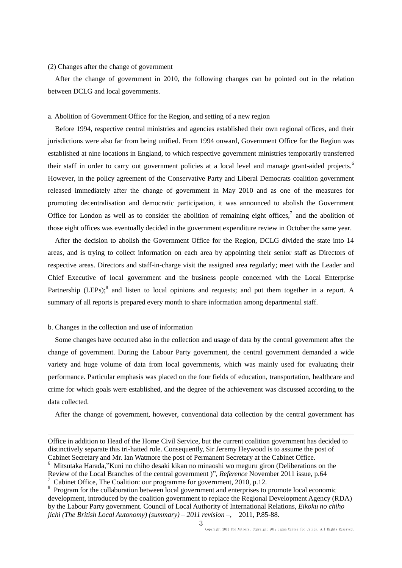# (2) Changes after the change of government

After the change of government in 2010, the following changes can be pointed out in the relation between DCLG and local governments.

## a. Abolition of Government Office for the Region, and setting of a new region

Before 1994, respective central ministries and agencies established their own regional offices, and their jurisdictions were also far from being unified. From 1994 onward, Government Office for the Region was established at nine locations in England, to which respective government ministries temporarily transferred their staff in order to carry out government policies at a local level and manage grant-aided projects.<sup>6</sup> However, in the policy agreement of the Conservative Party and Liberal Democrats coalition government released immediately after the change of government in May 2010 and as one of the measures for promoting decentralisation and democratic participation, it was announced to abolish the Government Office for London as well as to consider the abolition of remaining eight offices, $\frac{7}{1}$  and the abolition of those eight offices was eventually decided in the government expenditure review in October the same year.

After the decision to abolish the Government Office for the Region, DCLG divided the state into 14 areas, and is trying to collect information on each area by appointing their senior staff as Directors of respective areas. Directors and staff-in-charge visit the assigned area regularly; meet with the Leader and Chief Executive of local government and the business people concerned with the Local Enterprise Partnership (LEPs);<sup>8</sup> and listen to local opinions and requests; and put them together in a report. A summary of all reports is prepared every month to share information among departmental staff.

# b. Changes in the collection and use of information

 $\overline{a}$ 

Some changes have occurred also in the collection and usage of data by the central government after the change of government. During the Labour Party government, the central government demanded a wide variety and huge volume of data from local governments, which was mainly used for evaluating their performance. Particular emphasis was placed on the four fields of education, transportation, healthcare and crime for which goals were established, and the degree of the achievement was discussed according to the data collected.

After the change of government, however, conventional data collection by the central government has

Office in addition to Head of the Home Civil Service, but the current coalition government has decided to distinctively separate this tri-hatted role. Consequently, Sir Jeremy Heywood is to assume the post of Cabinet Secretary and Mr. Ian Watmore the post of Permanent Secretary at the Cabinet Office.

<sup>6</sup> Mitsutaka Harada,"Kuni no chiho desaki kikan no minaoshi wo meguru giron (Deliberations on the Review of the Local Branches of the central government )", *Reference* November 2011 issue, p.64 Cabinet Office, The Coalition: our programme for government, 2010, p.12.

<sup>&</sup>lt;sup>8</sup> Program for the collaboration between local government and enterprises to promote local economic development, introduced by the coalition government to replace the Regional Development Agency (RDA) by the Labour Party government. Council of Local Authority of International Relations, *Eikoku no chiho jichi (The British Local Autonomy) (summary) – 2011 revision –*, 2011, P.85-88.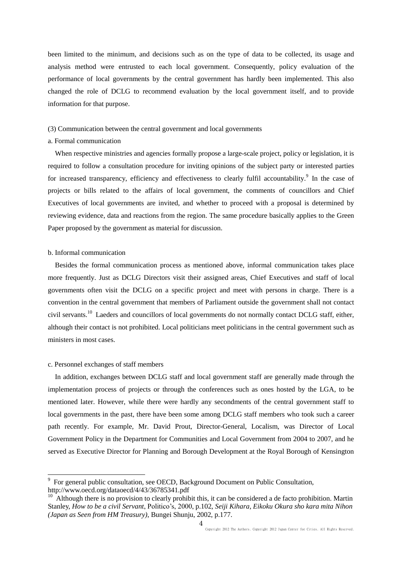been limited to the minimum, and decisions such as on the type of data to be collected, its usage and analysis method were entrusted to each local government. Consequently, policy evaluation of the performance of local governments by the central government has hardly been implemented. This also changed the role of DCLG to recommend evaluation by the local government itself, and to provide information for that purpose.

# (3) Communication between the central government and local governments

#### a. Formal communication

When respective ministries and agencies formally propose a large-scale project, policy or legislation, it is required to follow a consultation procedure for inviting opinions of the subject party or interested parties for increased transparency, efficiency and effectiveness to clearly fulfil accountability.<sup>9</sup> In the case of projects or bills related to the affairs of local government, the comments of councillors and Chief Executives of local governments are invited, and whether to proceed with a proposal is determined by reviewing evidence, data and reactions from the region. The same procedure basically applies to the Green Paper proposed by the government as material for discussion.

#### b. Informal communication

Besides the formal communication process as mentioned above, informal communication takes place more frequently. Just as DCLG Directors visit their assigned areas, Chief Executives and staff of local governments often visit the DCLG on a specific project and meet with persons in charge. There is a convention in the central government that members of Parliament outside the government shall not contact civil servants.<sup>10</sup> Laeders and councillors of local governments do not normally contact DCLG staff, either, although their contact is not prohibited. Local politicians meet politicians in the central government such as ministers in most cases.

## c. Personnel exchanges of staff members

In addition, exchanges between DCLG staff and local government staff are generally made through the implementation process of projects or through the conferences such as ones hosted by the LGA, to be mentioned later. However, while there were hardly any secondments of the central government staff to local governments in the past, there have been some among DCLG staff members who took such a career path recently. For example, Mr. David Prout, Director-General, Localism, was Director of Local Government Policy in the Department for Communities and Local Government from 2004 to 2007, and he served as Executive Director for Planning and Borough Development at the Royal Borough of Kensington

<sup>&</sup>lt;sup>9</sup> For general public consultation, see OECD, Background Document on Public Consultation, http://www.oecd.org/dataoecd/4/43/36785341.pdf

<sup>&</sup>lt;sup>10</sup> Although there is no provision to clearly prohibit this, it can be considered a de facto prohibition. Martin Stanley, *How to be a civil Servant*, Politico's, 2000, p.102, *Seiji Kihara, Eikoku Okura sho kara mita Nihon (Japan as Seen from HM Treasury)*, Bungei Shunju, 2002, p.177.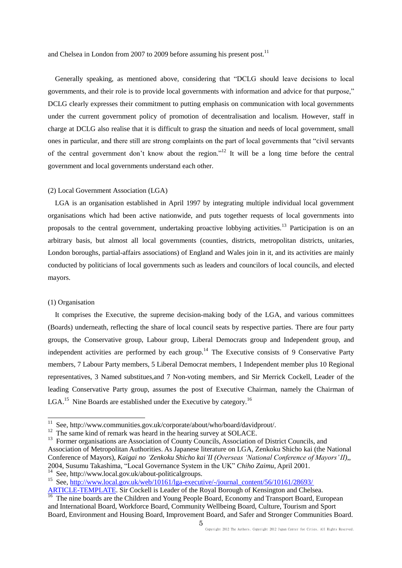and Chelsea in London from 2007 to 2009 before assuming his present post.<sup>11</sup>

Generally speaking, as mentioned above, considering that "DCLG should leave decisions to local governments, and their role is to provide local governments with information and advice for that purpose," DCLG clearly expresses their commitment to putting emphasis on communication with local governments under the current government policy of promotion of decentralisation and localism. However, staff in charge at DCLG also realise that it is difficult to grasp the situation and needs of local government, small ones in particular, and there still are strong complaints on the part of local governments that "civil servants of the central government don't know about the region."<sup>12</sup> It will be a long time before the central government and local governments understand each other.

# (2) Local Government Association (LGA)

LGA is an organisation established in April 1997 by integrating multiple individual local government organisations which had been active nationwide, and puts together requests of local governments into proposals to the central government, undertaking proactive lobbying activities.<sup>13</sup> Participation is on an arbitrary basis, but almost all local governments (counties, districts, metropolitan districts, unitaries, London boroughs, partial-affairs associations) of England and Wales join in it, and its activities are mainly conducted by politicians of local governments such as leaders and councilors of local councils, and elected mayors.

# (1) Organisation

 $\overline{a}$ 

It comprises the Executive, the supreme decision-making body of the LGA, and various committees (Boards) underneath, reflecting the share of local council seats by respective parties. There are four party groups, the Conservative group, Labour group, Liberal Democrats group and Independent group, and independent activities are performed by each group.<sup>14</sup> The Executive consists of 9 Conservative Party members, 7 Labour Party members, 5 Liberal Democrat members, 1 Independent member plus 10 Regional representatives, 3 Named substitues,and 7 Non-voting members, and Sir Merrick Cockell, Leader of the leading Conservative Party group, assumes the post of Executive Chairman, namely the Chairman of LGA.<sup>15</sup> Nine Boards are established under the Executive by category.<sup>16</sup>

<sup>&</sup>lt;sup>11</sup> See, http://www.communities.gov.uk/corporate/about/who/board/davidprout/.

<sup>&</sup>lt;sup>12</sup> The same kind of remark was heard in the hearing survey at SOLACE.

<sup>&</sup>lt;sup>13</sup> Former organisations are Association of County Councils, Association of District Councils, and Association of Metropolitan Authorities. As Japanese literature on LGA, Zenkoku Shicho kai (the National Conference of Mayors), *Kaigai no 'Zenkoku Shicho kai'II (Overseas 'National Conference of Mayors' II)*,, 2004, Susumu Takashima, "Local Governance System in the UK" *Chiho Zaimu*, April 2001.

<sup>14</sup> See, http://www.local.gov.uk/about-politicalgroups.

<sup>&</sup>lt;sup>15</sup> See, http://www.local.gov.uk/web/10161/lga-executive/-/journal\_content/56/10161/28693/

[ARTICLE-TEMPLATE.](http://www.local.gov.uk/web/10161/lga-executive/-/journal_content/56/10161/28693/%20ARTICLE-TEMPLATE) Sir Cockell is Leader of the Royal Borough of Kensington and Chelsea. <sup>16</sup> The nine boards are the Children and Young People Board, Economy and Transport Board, European and International Board, Workforce Board, Community Wellbeing Board, Culture, Tourism and Sport Board, Environment and Housing Board, Improvement Board, and Safer and Stronger Communities Board.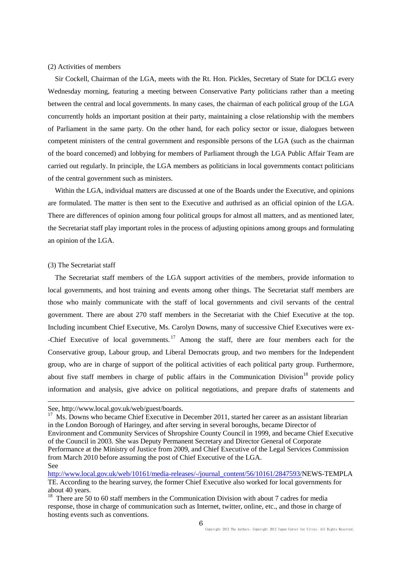# (2) Activities of members

 Sir Cockell, Chairman of the LGA, meets with the Rt. Hon. Pickles, Secretary of State for DCLG every Wednesday morning, featuring a meeting between Conservative Party politicians rather than a meeting between the central and local governments. In many cases, the chairman of each political group of the LGA concurrently holds an important position at their party, maintaining a close relationship with the members of Parliament in the same party. On the other hand, for each policy sector or issue, dialogues between competent ministers of the central government and responsible persons of the LGA (such as the chairman of the board concerned) and lobbying for members of Parliament through the LGA Public Affair Team are carried out regularly. In principle, the LGA members as politicians in local governments contact politicians of the central government such as ministers.

Within the LGA, individual matters are discussed at one of the Boards under the Executive, and opinions are formulated. The matter is then sent to the Executive and authrised as an official opinion of the LGA. There are differences of opinion among four political groups for almost all matters, and as mentioned later, the Secretariat staff play important roles in the process of adjusting opinions among groups and formulating an opinion of the LGA.

# (3) The Secretariat staff

 $\overline{a}$ 

 The Secretariat staff members of the LGA support activities of the members, provide information to local governments, and host training and events among other things. The Secretariat staff members are those who mainly communicate with the staff of local governments and civil servants of the central government. There are about 270 staff members in the Secretariat with the Chief Executive at the top. Including incumbent Chief Executive, Ms. Carolyn Downs, many of successive Chief Executives were ex- -Chief Executive of local governments.<sup>17</sup> Among the staff, there are four members each for the Conservative group, Labour group, and Liberal Democrats group, and two members for the Independent group, who are in charge of support of the political activities of each political party group. Furthermore, about five staff members in charge of public affairs in the Communication Division<sup>18</sup> provide policy information and analysis, give advice on political negotiations, and prepare drafts of statements and

See, http://www.local.gov.uk/web/guest/boards.

<sup>17</sup> Ms. Downs who became Chief Executive in December 2011, started her career as an assistant librarian in the London Borough of Haringey, and after serving in several boroughs, became Director of Environment and Community Services of Shropshire County Council in 1999, and became Chief Executive of the Council in 2003. She was Deputy Permanent Secretary and Director General of Corporate Performance at the Ministry of Justice from 2009, and Chief Executive of the Legal Services Commission from March 2010 before assuming the post of Chief Executive of the LGA. See

[http://www.local.gov.uk/web/10161/media-releases/-/journal\\_content/56/10161/2847593/N](http://www.local.gov.uk/web/10161/media-releases/-/journal_content/56/10161/2847593/)EWS-TEMPLA TE. According to the hearing survey, the former Chief Executive also worked for local governments for about 40 years.

<sup>&</sup>lt;sup>18</sup> There are 50 to 60 staff members in the Communication Division with about 7 cadres for media response, those in charge of communication such as Internet, twitter, online, etc., and those in charge of hosting events such as conventions.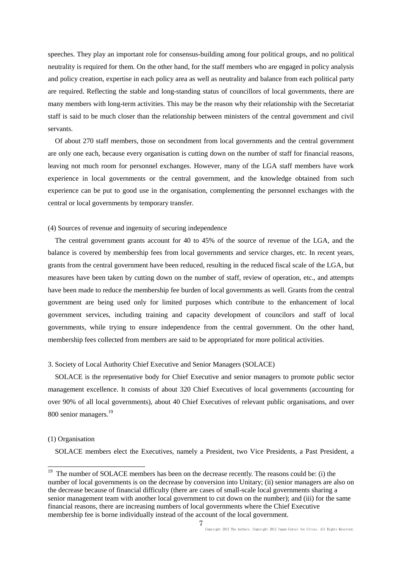speeches. They play an important role for consensus-building among four political groups, and no political neutrality is required for them. On the other hand, for the staff members who are engaged in policy analysis and policy creation, expertise in each policy area as well as neutrality and balance from each political party are required. Reflecting the stable and long-standing status of councillors of local governments, there are many members with long-term activities. This may be the reason why their relationship with the Secretariat staff is said to be much closer than the relationship between ministers of the central government and civil servants.

Of about 270 staff members, those on secondment from local governments and the central government are only one each, because every organisation is cutting down on the number of staff for financial reasons, leaving not much room for personnel exchanges. However, many of the LGA staff members have work experience in local governments or the central government, and the knowledge obtained from such experience can be put to good use in the organisation, complementing the personnel exchanges with the central or local governments by temporary transfer.

# (4) Sources of revenue and ingenuity of securing independence

The central government grants account for 40 to 45% of the source of revenue of the LGA, and the balance is covered by membership fees from local governments and service charges, etc. In recent years, grants from the central government have been reduced, resulting in the reduced fiscal scale of the LGA, but measures have been taken by cutting down on the number of staff, review of operation, etc., and attempts have been made to reduce the membership fee burden of local governments as well. Grants from the central government are being used only for limited purposes which contribute to the enhancement of local government services, including training and capacity development of councilors and staff of local governments, while trying to ensure independence from the central government. On the other hand, membership fees collected from members are said to be appropriated for more political activities.

# 3. Society of Local Authority Chief Executive and Senior Managers (SOLACE)

 SOLACE is the representative body for Chief Executive and senior managers to promote public sector management excellence. It consists of about 320 Chief Executives of local governments (accounting for over 90% of all local governments), about 40 Chief Executives of relevant public organisations, and over 800 senior managers.<sup>19</sup>

## (1) Organisation

 $\overline{a}$ 

SOLACE members elect the Executives, namely a President, two Vice Presidents, a Past President, a

 $19$  The number of SOLACE members has been on the decrease recently. The reasons could be: (i) the number of local governments is on the decrease by conversion into Unitary; (ii) senior managers are also on the decrease because of financial difficulty (there are cases of small-scale local governments sharing a senior management team with another local government to cut down on the number); and (iii) for the same financial reasons, there are increasing numbers of local governments where the Chief Executive membership fee is borne individually instead of the account of the local government.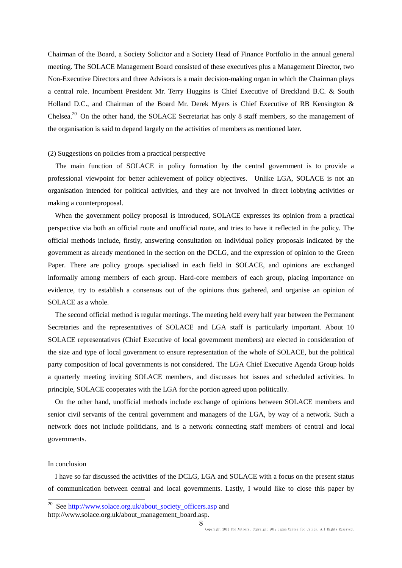Chairman of the Board, a Society Solicitor and a Society Head of Finance Portfolio in the annual general meeting. The SOLACE Management Board consisted of these executives plus a Management Director, two Non-Executive Directors and three Advisors is a main decision-making organ in which the Chairman plays a central role. Incumbent President Mr. Terry Huggins is Chief Executive of Breckland B.C. & South Holland D.C., and Chairman of the Board Mr. Derek Myers is Chief Executive of RB Kensington & Chelsea.<sup>20</sup> On the other hand, the SOLACE Secretariat has only 8 staff members, so the management of the organisation is said to depend largely on the activities of members as mentioned later.

# (2) Suggestions on policies from a practical perspective

The main function of SOLACE in policy formation by the central government is to provide a professional viewpoint for better achievement of policy objectives. Unlike LGA, SOLACE is not an organisation intended for political activities, and they are not involved in direct lobbying activities or making a counterproposal.

When the government policy proposal is introduced, SOLACE expresses its opinion from a practical perspective via both an official route and unofficial route, and tries to have it reflected in the policy. The official methods include, firstly, answering consultation on individual policy proposals indicated by the government as already mentioned in the section on the DCLG, and the expression of opinion to the Green Paper. There are policy groups specialised in each field in SOLACE, and opinions are exchanged informally among members of each group. Hard-core members of each group, placing importance on evidence, try to establish a consensus out of the opinions thus gathered, and organise an opinion of SOLACE as a whole.

The second official method is regular meetings. The meeting held every half year between the Permanent Secretaries and the representatives of SOLACE and LGA staff is particularly important. About 10 SOLACE representatives (Chief Executive of local government members) are elected in consideration of the size and type of local government to ensure representation of the whole of SOLACE, but the political party composition of local governments is not considered. The LGA Chief Executive Agenda Group holds a quarterly meeting inviting SOLACE members, and discusses hot issues and scheduled activities. In principle, SOLACE cooperates with the LGA for the portion agreed upon politically.

On the other hand, unofficial methods include exchange of opinions between SOLACE members and senior civil servants of the central government and managers of the LGA, by way of a network. Such a network does not include politicians, and is a network connecting staff members of central and local governments.

# In conclusion

 $\overline{a}$ 

I have so far discussed the activities of the DCLG, LGA and SOLACE with a focus on the present status of communication between central and local governments. Lastly, I would like to close this paper by

See [http://www.solace.org.uk/about\\_society\\_officers.asp](http://www.solace.org.uk/about_society_officers.asp) and

http://www.solace.org.uk/about\_management\_board.asp.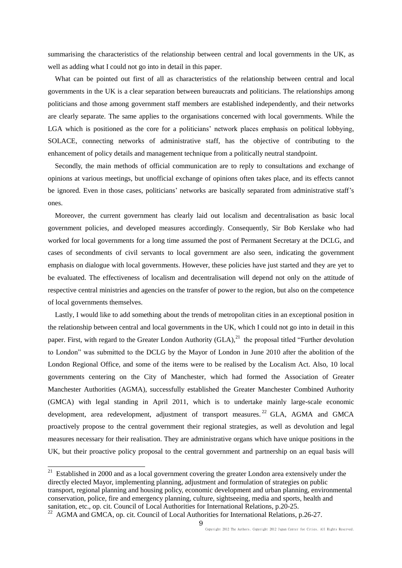summarising the characteristics of the relationship between central and local governments in the UK, as well as adding what I could not go into in detail in this paper.

What can be pointed out first of all as characteristics of the relationship between central and local governments in the UK is a clear separation between bureaucrats and politicians. The relationships among politicians and those among government staff members are established independently, and their networks are clearly separate. The same applies to the organisations concerned with local governments. While the LGA which is positioned as the core for a politicians' network places emphasis on political lobbying, SOLACE, connecting networks of administrative staff, has the objective of contributing to the enhancement of policy details and management technique from a politically neutral standpoint.

Secondly, the main methods of official communication are to reply to consultations and exchange of opinions at various meetings, but unofficial exchange of opinions often takes place, and its effects cannot be ignored. Even in those cases, politicians' networks are basically separated from administrative staff's ones.

Moreover, the current government has clearly laid out localism and decentralisation as basic local government policies, and developed measures accordingly. Consequently, Sir Bob Kerslake who had worked for local governments for a long time assumed the post of Permanent Secretary at the DCLG, and cases of secondments of civil servants to local government are also seen, indicating the government emphasis on dialogue with local governments. However, these policies have just started and they are yet to be evaluated. The effectiveness of localism and decentralisation will depend not only on the attitude of respective central ministries and agencies on the transfer of power to the region, but also on the competence of local governments themselves.

Lastly, I would like to add something about the trends of metropolitan cities in an exceptional position in the relationship between central and local governments in the UK, which I could not go into in detail in this paper. First, with regard to the Greater London Authority  $(GLA)$ ,  $^{21}$  the proposal titled "Further devolution" to London" was submitted to the DCLG by the Mayor of London in June 2010 after the abolition of the London Regional Office, and some of the items were to be realised by the Localism Act. Also, 10 local governments centering on the City of Manchester, which had formed the Association of Greater Manchester Authorities (AGMA), successfully established the Greater Manchester Combined Authority (GMCA) with legal standing in April 2011, which is to undertake mainly large-scale economic development, area redevelopment, adjustment of transport measures.<sup>22</sup> GLA, AGMA and GMCA proactively propose to the central government their regional strategies, as well as devolution and legal measures necessary for their realisation. They are administrative organs which have unique positions in the UK, but their proactive policy proposal to the central government and partnership on an equal basis will

 $\overline{a}$ 

 $21$  Established in 2000 and as a local government covering the greater London area extensively under the directly elected Mayor, implementing planning, adjustment and formulation of strategies on public transport, regional planning and housing policy, economic development and urban planning, environmental conservation, police, fire and emergency planning, culture, sightseeing, media and sports, health and sanitation, etc., op. cit. Council of Local Authorities for International Relations, p.20-25.

<sup>&</sup>lt;sup>22</sup> AGMA and GMCA, op. cit. Council of Local Authorities for International Relations, p.26-27.